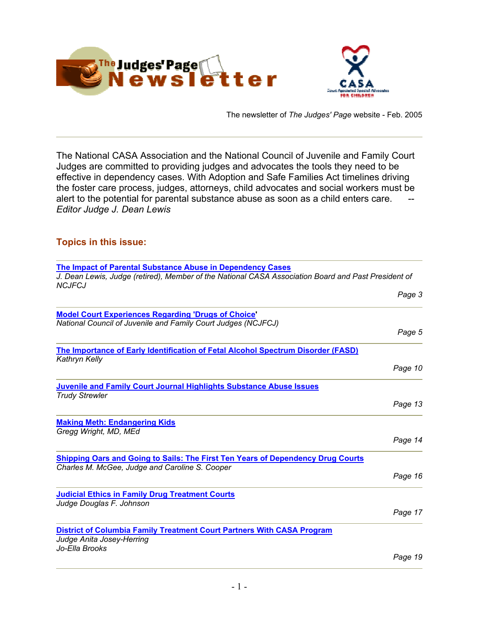<span id="page-0-0"></span>



The newsletter of *The Judges' Page* website - Feb. 2005

The National CASA Association and the National Council of Juvenile and Family Court Judges are committed to providing judges and advocates the tools they need to be effective in dependency cases. With Adoption and Safe Families Act timelines driving the foster care process, judges, attorneys, child advocates and social workers must be alert to the potential for parental substance abuse as soon as a child enters care. *Editor Judge J. Dean Lewis*

# **Topics in this issue:**

| The Impact of Parental Substance Abuse in Dependency Cases                                                                               |         |
|------------------------------------------------------------------------------------------------------------------------------------------|---------|
| J. Dean Lewis, Judge (retired), Member of the National CASA Association Board and Past President of                                      |         |
| <b>NCJFCJ</b>                                                                                                                            | Page 3  |
|                                                                                                                                          |         |
| <b>Model Court Experiences Regarding 'Drugs of Choice'</b>                                                                               |         |
| National Council of Juvenile and Family Court Judges (NCJFCJ)                                                                            |         |
|                                                                                                                                          | Page 5  |
| <b>The Importance of Early Identification of Fetal Alcohol Spectrum Disorder (FASD)</b><br>Kathryn Kelly                                 |         |
|                                                                                                                                          | Page 10 |
| <b>Juvenile and Family Court Journal Highlights Substance Abuse Issues</b>                                                               |         |
| <b>Trudy Strewler</b>                                                                                                                    |         |
|                                                                                                                                          | Page 13 |
| <b>Making Meth: Endangering Kids</b>                                                                                                     |         |
| Gregg Wright, MD, MEd                                                                                                                    |         |
|                                                                                                                                          | Page 14 |
| <b>Shipping Oars and Going to Sails: The First Ten Years of Dependency Drug Courts</b><br>Charles M. McGee, Judge and Caroline S. Cooper |         |
|                                                                                                                                          | Page 16 |
| <b>Judicial Ethics in Family Drug Treatment Courts</b>                                                                                   |         |
| Judge Douglas F. Johnson                                                                                                                 |         |
|                                                                                                                                          | Page 17 |
| <b>District of Columbia Family Treatment Court Partners With CASA Program</b>                                                            |         |
| Judge Anita Josey-Herring<br>Jo-Ella Brooks                                                                                              |         |
|                                                                                                                                          | Page 19 |
|                                                                                                                                          |         |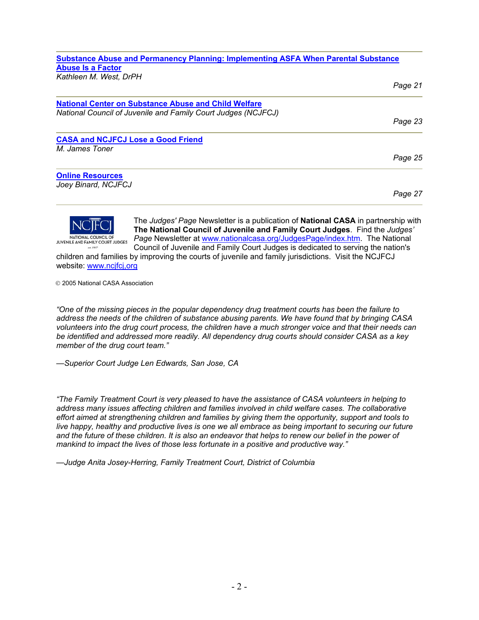# **[Substance Abuse and Permanency Planning: Implementing ASFA When Parental Substance](#page-20-0)  [Abuse Is a Factor](#page-20-0)** *Kathleen M. West, DrPH Page 21*

| <b>National Center on Substance Abuse and Child Welfare</b>   |         |
|---------------------------------------------------------------|---------|
| National Council of Juvenile and Family Court Judges (NCJFCJ) | Page 23 |
| <b>CASA and NCJFCJ Lose a Good Friend</b>                     |         |
| M. James Toner                                                |         |
|                                                               | Page 25 |
| <b>Online Resources</b>                                       |         |
| Joey Binard, NCJFCJ                                           |         |
|                                                               | Page 27 |



The *Judges' Page* Newsletter is a publication of **National CASA** in partnership w ith **The National Council of Juvenile and Family Court Judges**. Find the *Judges '* Page Newsletter at www.nat[ionalcasa.org/JudgesPage/index.htm.](http://www.nationalcasa.org/JudgesPage/index.htm) The National Council of Juvenile and Family Court Judges is dedicated to serving the nation's

children and families by improving the courts of juvenile and family jurisdictions. Visit the NCJFCJ website: www.ncj[fcj,org](http://www.ncjfcj,org/)

2005 National CASA Association

*"One of the missing pieces in the popular dependency drug treatment courts has been the failure to address the needs of the children of substance abusing parents. We have found that by bringing CASA volunteers into the drug court process, the children have a much stronger voice and that their needs can be identified and addressed more readily. All dependency drug courts should consider CASA as a key member of the drug court team."*

*—Superior Court Judge Len Edwards, San Jose, CA* 

*"The Family Treatment Court is very pleased to have the assistance of CASA volunteers in helping to address many issues affecting children and families involved in child welfare cases. The collaborative effort aimed at strengthening children and families by giving them the opportunity, support and tools to live happy, healthy and productive lives is one we all embrace as being important to securing our future and the future of these children. It is also an endeavor that helps to renew our belief in the power of mankind to impact the lives of those less fortunate in a positive and productive way."*

*—Judge Anita Josey-Herring, Family Treatment Court, District of Columbia*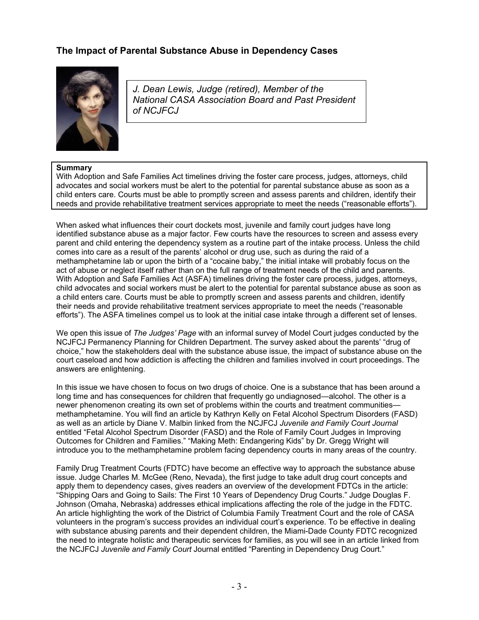# <span id="page-2-0"></span>**The Impact of Parental Substance Abuse in Dependency Cases**



*J. Dean Lewis, Judge (retired), Member of the National CASA Association Board and Past Pres ident of NCJFC J*

## **Summary**

With Adoption and Safe Families Act timelines driving the foster care process, judges, attorneys, child advocates and social workers must be alert to the potential for parental substance abuse as soon as a child enters care. Courts must be able to promptly screen and assess parents and children, identify their needs and provide rehabilitative treatment services appropriate to meet the needs ("reasonable efforts").

When asked what influences their court dockets most, juvenile and family court judges have long identified substance abuse as a major factor. Few courts have the resources to screen and assess every parent and child entering the dependency system as a routine part of the intake process. Unless the child comes into care as a result of the parents' alcohol or drug use, such as during the raid of a methamphetamine lab or upon the birth of a "cocaine baby," the initial intake will probably focus on the act of abuse or neglect itself rather than on the full range of treatment needs of the child and parents. With Adoption and Safe Families Act (ASFA) timelines driving the foster care process, judges, attorneys, child advocates and social workers must be alert to the potential for parental substance abuse as soon as a child enters care. Courts must be able to promptly screen and assess parents and children, identify their needs and provide rehabilitative treatment services appropriate to meet the needs ("reasonable efforts"). The ASFA timelines compel us to look at the initial case intake through a different set of lenses.

We open this issue of *The Judges' Page* with an informal survey of Model Court judges conducted by the NCJFCJ Permanency Planning for Children Department. The survey asked about the parents' "drug of choice," how the stakeholders deal with the substance abuse issue, the impact of substance abuse on the court caseload and how addiction is affecting the children and families involved in court proceedings. The answers are enlightening.

In this issue we have chosen to focus on two drugs of choice. One is a substance that has been around a long time and has consequences for children that frequently go undiagnosed—alcohol. The other is a newer phenomenon creating its own set of problems within the courts and treatment communities methamphetamine. You will find an article by Kathryn Kelly on Fetal Alcohol Spectrum Disorders (FASD) as well as an article by Diane V. Malbin linked from the NCJFCJ *Juvenile and Family Court Journal*  entitled "Fetal Alcohol Spectrum Disorder (FASD) and the Role of Family Court Judges in Improving Outcomes for Children and Families." "Making Meth: Endangering Kids" by Dr. Gregg Wright will introduce you to the methamphetamine problem facing dependency courts in many areas of the country.

Family Drug Treatment Courts (FDTC) have become an effective way to approach the substance abuse issue. Judge Charles M. McGee (Reno, Nevada), the first judge to take adult drug court concepts and apply them to dependency cases, gives readers an overview of the development FDTCs in the article: "Shipping Oars and Going to Sails: The First 10 Years of Dependency Drug Courts." Judge Douglas F. Johnson (Omaha, Nebraska) addresses ethical implications affecting the role of the judge in the FDTC. An article highlighting the work of the District of Columbia Family Treatment Court and the role of CASA volunteers in the program's success provides an individual court's experience. To be effective in dealing with substance abusing parents and their dependent children, the Miami-Dade County FDTC recognized the need to integrate holistic and therapeutic services for families, as you will see in an article linked from the NCJFCJ *Juvenile and Family Court* Journal entitled "Parenting in Dependency Drug Court."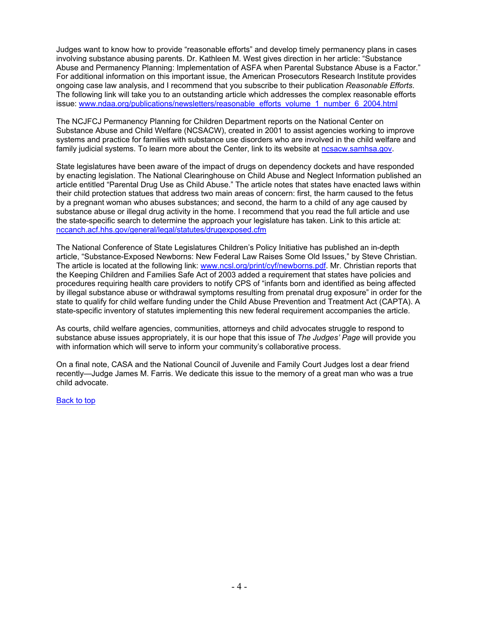Judges want to know how to provide "reasonable efforts" and develop timely permanency plans in cases involving substance abusing parents. Dr. Kathleen M. West gives direction in her article: "Substance Abuse and Permanency Planning: Implementation of ASFA when Parental Substance Abuse is a Factor." For additional information on this important issue, the American Prosecutors Research Institute provides ongoing case law analysis, and I recommend that you subscribe to their publication *Reasonable Efforts*. The following link will take you to an outstanding article which addresses the complex reasonable efforts issue: [www.ndaa.org/publications/newsletters/reasonable\\_efforts\\_volume\\_1\\_number\\_6\\_2004.html](http://www.ndaa.org/publications/newsletters/reasonable_efforts_volume_1_number_6_2004.html)

The NCJFCJ Permanency Planning for Children Department reports on the National Center on Substance Abuse and Child Welfare (NCSACW), created in 2001 to assist agencies working to improve systems and practice for families with substance use disorders who are involved in the child welfare and family judicial systems. To learn more about the Center, link to its website at [ncsacw.samhsa.gov](http://ncsacw.samhsa.gov/).

State legislatures have been aware of the impact of drugs on dependency dockets and have responded by enacting legislation. The National Clearinghouse on Child Abuse and Neglect Information published an article entitled "Parental Drug Use as Child Abuse." The article notes that states have enacted laws within their child protection statues that address two main areas of concern: first, the harm caused to the fetus by a pregnant woman who abuses substances; and second, the harm to a child of any age caused by substance abuse or illegal drug activity in the home. I recommend that you read the full article and use the state-specific search to determine the approach your legislature has taken. Link to this article at: [nccanch.acf.hhs.gov/general/legal/statutes/drugexposed.cfm](http://nccanch.acf.hhs.gov/general/legal/statutes/drugexposed.cfm) 

The National Conference of State Legislatures Children's Policy Initiative has published an in-depth article, "Substance-Exposed Newborns: New Federal Law Raises Some Old Issues," by Steve Christian. The article is located at the following link: [www.ncsl.org/print/cyf/newborns.pdf.](http://www.ncsl.org/print/cyf/newborns.pdf) Mr. Christian reports that the Keeping Children and Families Safe Act of 2003 added a requirement that states have policies and procedures requiring health care providers to notify CPS of "infants born and identified as being affected by illegal substance abuse or withdrawal symptoms resulting from prenatal drug exposure" in order for the state to qualify for child welfare funding under the Child Abuse Prevention and Treatment Act (CAPTA). A state-specific inventory of statutes implementing this new federal requirement accompanies the article.

As courts, child welfare agencies, communities, attorneys and child advocates struggle to respond to substance abuse issues appropriately, it is our hope that this issue of *The Judges' Page* will provide you with information which will serve to inform your community's collaborative process.

On a final note, CASA and the National Council of Juvenile and Family Court Judges lost a dear friend recently—Judge James M. Farris. We dedicate this issue to the memory of a great man who was a true child advocate.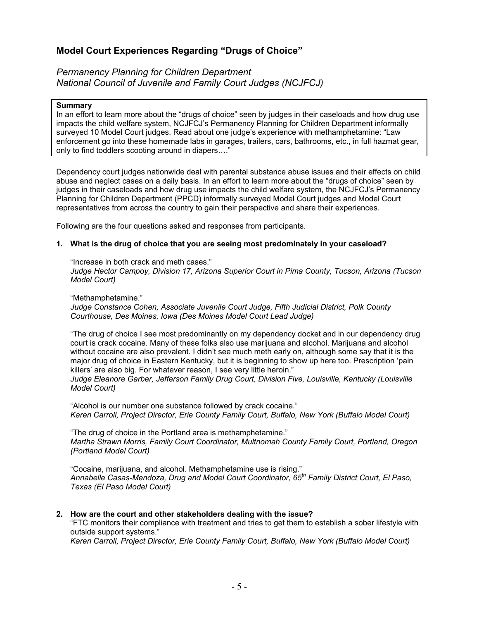# <span id="page-4-0"></span>**Model Court Experiences Regarding "Drugs of Choice"**

*Permanency Planning for Children Department National Council of Juvenile and Family Court Judges (NCJFCJ)*

#### **Summary**

In an effort to learn more about the "drugs of choice" seen by judges in their caseloads and how drug use impacts the child welfare system, NCJFCJ's Permanency Planning for Children Department informally surveyed 10 Model Court judges. Read about one judge's experience with methamphetamine: "Law enforcement go into these homemade labs in garages, trailers, cars, bathrooms, etc., in full hazmat gear, only to find toddlers scooting around in diapers…."

Dependency court judges nationwide deal with parental substance abuse issues and their effects on child abuse and neglect cases on a daily basis. In an effort to learn more about the "drugs of choice" seen by judges in their caseloads and how drug use impacts the child welfare system, the NCJFCJ's Permanency Planning for Children Department (PPCD) informally surveyed Model Court judges and Model Court representatives from across the country to gain their perspective and share their experiences.

Following are the four questions asked and responses from participants.

## **1. What is the drug of choice that you are seeing most predominately in your caseload?**

"Increase in both crack and meth cases." *Judge Hector Campoy, Division 17, Arizona Superior Court in Pima County, Tucson, Arizona (Tucson Model Court)*

"Methamphetamine." *Judge Constance Cohen, Associate Juvenile Court Judge, Fifth Judicial District, Polk County Courthouse, Des Moines, Iowa (Des Moines Model Court Lead Judge)*

"The drug of choice I see most predominantly on my dependency docket and in our dependency drug court is crack cocaine. Many of these folks also use marijuana and alcohol. Marijuana and alcohol without cocaine are also prevalent. I didn't see much meth early on, although some say that it is the major drug of choice in Eastern Kentucky, but it is beginning to show up here too. Prescription 'pain killers' are also big. For whatever reason, I see very little heroin."

*Judge Eleanore Garber, Jefferson Family Drug Court, Division Five, Louisville, Kentucky (Louisville Model Court)* 

"Alcohol is our number one substance followed by crack cocaine." *Karen Carroll, Project Director, Erie County Family Court, Buffalo, New York (Buffalo Model Court)* 

"The drug of choice in the Portland area is methamphetamine." *Martha Strawn Morris, Family Court Coordinator, Multnomah County Family Court, Portland, Oregon (Portland Model Court)* 

"Cocaine, marijuana, and alcohol. Methamphetamine use is rising." *Annabelle Casas-Mendoza, Drug and Model Court Coordinator, 65th Family District Court, El Paso, Texas (El Paso Model Court)*

## **2. How are the court and other stakeholders dealing with the issue?**

"FTC monitors their compliance with treatment and tries to get them to establish a sober lifestyle with outside support systems."

*Karen Carroll, Project Director, Erie County Family Court, Buffalo, New York (Buffalo Model Court)*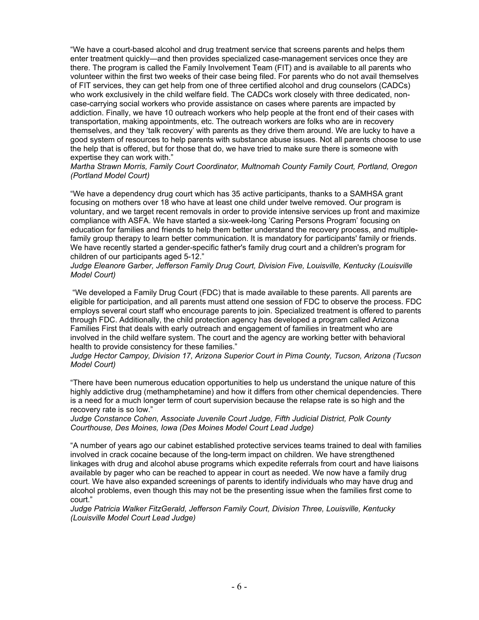"We have a court-based alcohol and drug treatment service that screens parents and helps them enter treatment quickly—and then provides specialized case-management services once they are there. The program is called the Family Involvement Team (FIT) and is available to all parents who volunteer within the first two weeks of their case being filed. For parents who do not avail themselves of FIT services, they can get help from one of three certified alcohol and drug counselors (CADCs) who work exclusively in the child welfare field. The CADCs work closely with three dedicated, noncase-carrying social workers who provide assistance on cases where parents are impacted by addiction. Finally, we have 10 outreach workers who help people at the front end of their cases with transportation, making appointments, etc. The outreach workers are folks who are in recovery themselves, and they 'talk recovery' with parents as they drive them around. We are lucky to have a good system of resources to help parents with substance abuse issues. Not all parents choose to use the help that is offered, but for those that do, we have tried to make sure there is someone with expertise they can work with."

*Martha Strawn Morris, Family Court Coordinator, Multnomah County Family Court, Portland, Oregon (Portland Model Court)* 

"We have a dependency drug court which has 35 active participants, thanks to a SAMHSA grant focusing on mothers over 18 who have at least one child under twelve removed. Our program is voluntary, and we target recent removals in order to provide intensive services up front and maximize compliance with ASFA. We have started a six-week-long 'Caring Persons Program' focusing on education for families and friends to help them better understand the recovery process, and multiplefamily group therapy to learn better communication. It is mandatory for participants' family or friends. We have recently started a gender-specific father's family drug court and a children's program for children of our participants aged 5-12."

*Judge Eleanore Garber, Jefferson Family Drug Court, Division Five, Louisville, Kentucky (Louisville Model Court)* 

 "We developed a Family Drug Court (FDC) that is made available to these parents. All parents are eligible for participation, and all parents must attend one session of FDC to observe the process. FDC employs several court staff who encourage parents to join. Specialized treatment is offered to parents through FDC. Additionally, the child protection agency has developed a program called Arizona Families First that deals with early outreach and engagement of families in treatment who are involved in the child welfare system. The court and the agency are working better with behavioral health to provide consistency for these families."

*Judge Hector Campoy, Division 17, Arizona Superior Court in Pima County, Tucson, Arizona (Tucson Model Court)*

"There have been numerous education opportunities to help us understand the unique nature of this highly addictive drug (methamphetamine) and how it differs from other chemical dependencies. There is a need for a much longer term of court supervision because the relapse rate is so high and the recovery rate is so low."

*Judge Constance Cohen, Associate Juvenile Court Judge, Fifth Judicial District, Polk County Courthouse, Des Moines, Iowa (Des Moines Model Court Lead Judge)*

"A number of years ago our cabinet established protective services teams trained to deal with families involved in crack cocaine because of the long-term impact on children. We have strengthened linkages with drug and alcohol abuse programs which expedite referrals from court and have liaisons available by pager who can be reached to appear in court as needed. We now have a family drug court. We have also expanded screenings of parents to identify individuals who may have drug and alcohol problems, even though this may not be the presenting issue when the families first come to court."

*Judge Patricia Walker FitzGerald, Jefferson Family Court, Division Three, Louisville, Kentucky (Louisville Model Court Lead Judge)*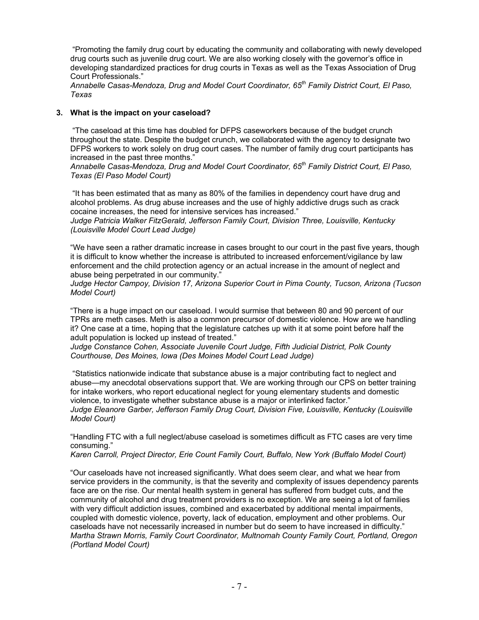"Promoting the family drug court by educating the community and collaborating with newly developed drug courts such as juvenile drug court. We are also working closely with the governor's office in developing standardized practices for drug courts in Texas as well as the Texas Association of Drug Court Professionals."

*Annabelle Casas-Mendoza, Drug and Model Court Coordinator, 65th Family District Court, El Paso, Texas* 

## **3. What is the impact on your caseload?**

 "The caseload at this time has doubled for DFPS caseworkers because of the budget crunch throughout the state. Despite the budget crunch, we collaborated with the agency to designate two DFPS workers to work solely on drug court cases. The number of family drug court participants has increased in the past three months."

*Annabelle Casas-Mendoza, Drug and Model Court Coordinator, 65th Family District Court, El Paso, Texas (El Paso Model Court)*

 "It has been estimated that as many as 80% of the families in dependency court have drug and alcohol problems. As drug abuse increases and the use of highly addictive drugs such as crack cocaine increases, the need for intensive services has increased."

*Judge Patricia Walker FitzGerald, Jefferson Family Court, Division Three, Louisville, Kentucky (Louisville Model Court Lead Judge)* 

"We have seen a rather dramatic increase in cases brought to our court in the past five years, though it is difficult to know whether the increase is attributed to increased enforcement/vigilance by law enforcement and the child protection agency or an actual increase in the amount of neglect and abuse being perpetrated in our community."

*Judge Hector Campoy, Division 17, Arizona Superior Court in Pima County, Tucson, Arizona (Tucson Model Court)*

"There is a huge impact on our caseload. I would surmise that between 80 and 90 percent of our TPRs are meth cases. Meth is also a common precursor of domestic violence. How are we handling it? One case at a time, hoping that the legislature catches up with it at some point before half the adult population is locked up instead of treated."

*Judge Constance Cohen, Associate Juvenile Court Judge, Fifth Judicial District, Polk County Courthouse, Des Moines, Iowa (Des Moines Model Court Lead Judge)*

 "Statistics nationwide indicate that substance abuse is a major contributing fact to neglect and abuse—my anecdotal observations support that. We are working through our CPS on better training for intake workers, who report educational neglect for young elementary students and domestic violence, to investigate whether substance abuse is a major or interlinked factor." *Judge Eleanore Garber, Jefferson Family Drug Court, Division Five, Louisville, Kentucky (Louisville Model Court)* 

"Handling FTC with a full neglect/abuse caseload is sometimes difficult as FTC cases are very time consuming."

*Karen Carroll, Project Director, Erie Count Family Court, Buffalo, New York (Buffalo Model Court)* 

"Our caseloads have not increased significantly. What does seem clear, and what we hear from service providers in the community, is that the severity and complexity of issues dependency parents face are on the rise. Our mental health system in general has suffered from budget cuts, and the community of alcohol and drug treatment providers is no exception. We are seeing a lot of families with very difficult addiction issues, combined and exacerbated by additional mental impairments, coupled with domestic violence, poverty, lack of education, employment and other problems. Our caseloads have not necessarily increased in number but do seem to have increased in difficulty." *Martha Strawn Morris, Family Court Coordinator, Multnomah County Family Court, Portland, Oregon (Portland Model Court)*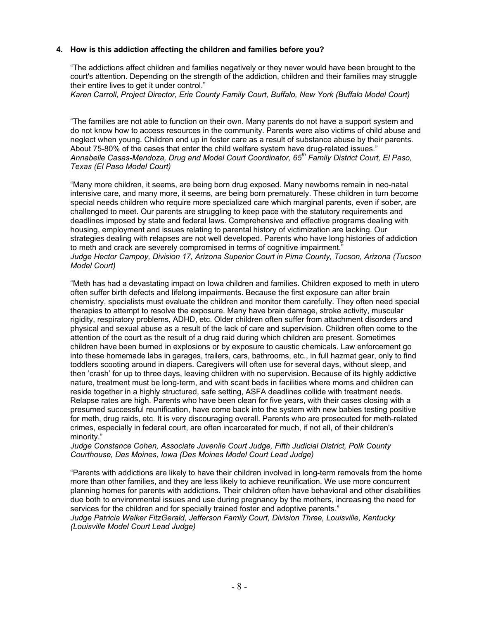## **4. How is this addiction affecting the children and families before you?**

"The addictions affect children and families negatively or they never would have been brought to the court's attention. Depending on the strength of the addiction, children and their families may struggle their entire lives to get it under control."

*Karen Carroll, Project Director, Erie County Family Court, Buffalo, New York (Buffalo Model Court)*

"The families are not able to function on their own. Many parents do not have a support system and do not know how to access resources in the community. Parents were also victims of child abuse and neglect when young. Children end up in foster care as a result of substance abuse by their parents. About 75-80% of the cases that enter the child welfare system have drug-related issues." *Annabelle Casas-Mendoza, Drug and Model Court Coordinator, 65th Family District Court, El Paso, Texas (El Paso Model Court)*

"Many more children, it seems, are being born drug exposed. Many newborns remain in neo-natal intensive care, and many more, it seems, are being born prematurely. These children in turn become special needs children who require more specialized care which marginal parents, even if sober, are challenged to meet. Our parents are struggling to keep pace with the statutory requirements and deadlines imposed by state and federal laws. Comprehensive and effective programs dealing with housing, employment and issues relating to parental history of victimization are lacking. Our strategies dealing with relapses are not well developed. Parents who have long histories of addiction to meth and crack are severely compromised in terms of cognitive impairment.' *Judge Hector Campoy, Division 17, Arizona Superior Court in Pima County, Tucson, Arizona (Tucson Model Court)*

"Meth has had a devastating impact on Iowa children and families. Children exposed to meth in utero often suffer birth defects and lifelong impairments. Because the first exposure can alter brain chemistry, specialists must evaluate the children and monitor them carefully. They often need special therapies to attempt to resolve the exposure. Many have brain damage, stroke activity, muscular rigidity, respiratory problems, ADHD, etc. Older children often suffer from attachment disorders and physical and sexual abuse as a result of the lack of care and supervision. Children often come to the attention of the court as the result of a drug raid during which children are present. Sometimes children have been burned in explosions or by exposure to caustic chemicals. Law enforcement go into these homemade labs in garages, trailers, cars, bathrooms, etc., in full hazmat gear, only to find toddlers scooting around in diapers. Caregivers will often use for several days, without sleep, and then 'crash' for up to three days, leaving children with no supervision. Because of its highly addictive nature, treatment must be long-term, and with scant beds in facilities where moms and children can reside together in a highly structured, safe setting, ASFA deadlines collide with treatment needs. Relapse rates are high. Parents who have been clean for five years, with their cases closing with a presumed successful reunification, have come back into the system with new babies testing positive for meth, drug raids, etc. It is very discouraging overall. Parents who are prosecuted for meth-related crimes, especially in federal court, are often incarcerated for much, if not all, of their children's minority."

#### *Judge Constance Cohen, Associate Juvenile Court Judge, Fifth Judicial District, Polk County Courthouse, Des Moines, Iowa (Des Moines Model Court Lead Judge)*

"Parents with addictions are likely to have their children involved in long-term removals from the home more than other families, and they are less likely to achieve reunification. We use more concurrent planning homes for parents with addictions. Their children often have behavioral and other disabilities due both to environmental issues and use during pregnancy by the mothers, increasing the need for services for the children and for specially trained foster and adoptive parents."

*Judge Patricia Walker FitzGerald, Jefferson Family Court, Division Three, Louisville, Kentucky (Louisville Model Court Lead Judge)*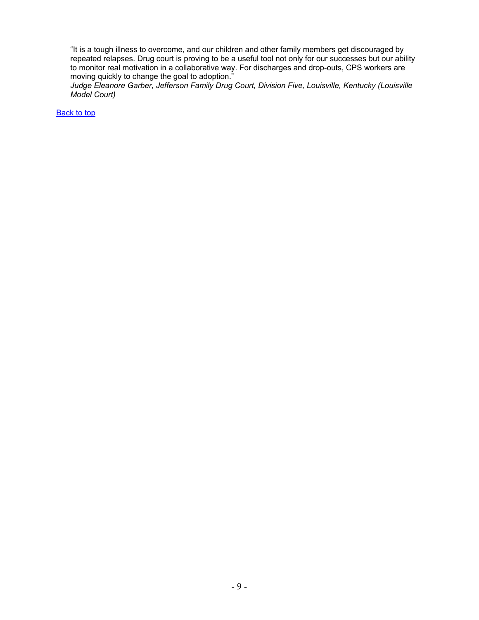"It is a tough illness to overcome, and our children and other family members get discouraged by repeated relapses. Drug court is proving to be a useful tool not only for our successes but our ability to monitor real motivation in a collaborative way. For discharges and drop-outs, CPS workers are moving quickly to change the goal to adoption."

*Judge Eleanore Garber, Jefferson Family Drug Court, Division Five, Louisville, Kentucky (Louisville Model Court)*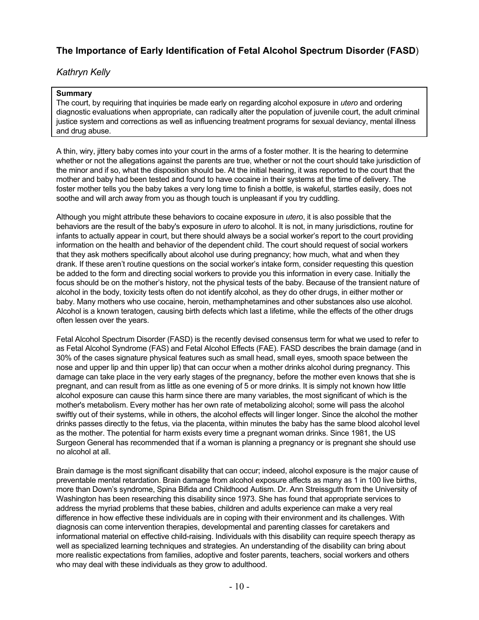# <span id="page-9-0"></span>**The Importance of Early Identification of Fetal Alcohol Spectrum Disorder (FASD**)

# *Kathryn Kelly*

## **Summary**

The court, by requiring that inquiries be made early on regarding alcohol exposure in *utero* and ordering diagnostic evaluations when appropriate, can radically alter the population of juvenile court, the adult criminal justice system and corrections as well as influencing treatment programs for sexual deviancy, mental illness and drug abuse.

A thin, wiry, jittery baby comes into your court in the arms of a foster mother. It is the hearing to determine whether or not the allegations against the parents are true, whether or not the court should take jurisdiction of the minor and if so, what the disposition should be. At the initial hearing, it was reported to the court that the mother and baby had been tested and found to have cocaine in their systems at the time of delivery. The foster mother tells you the baby takes a very long time to finish a bottle, is wakeful, startles easily, does not soothe and will arch away from you as though touch is unpleasant if you try cuddling.

Although you might attribute these behaviors to cocaine exposure in *utero*, it is also possible that the behaviors are the result of the baby's exposure in *utero* to alcohol. It is not, in many jurisdictions, routine for infants to actually appear in court, but there should always be a social worker's report to the court providing information on the health and behavior of the dependent child. The court should request of social workers that they ask mothers specifically about alcohol use during pregnancy; how much, what and when they drank. If these aren't routine questions on the social worker's intake form, consider requesting this question be added to the form and directing social workers to provide you this information in every case. Initially the focus should be on the mother's history, not the physical tests of the baby. Because of the transient nature of alcohol in the body, toxicity tests often do not identify alcohol, as they do other drugs, in either mother or baby. Many mothers who use cocaine, heroin, methamphetamines and other substances also use alcohol. Alcohol is a known teratogen, causing birth defects which last a lifetime, while the effects of the other drugs often lessen over the years.

Fetal Alcohol Spectrum Disorder (FASD) is the recently devised consensus term for what we used to refer to as Fetal Alcohol Syndrome (FAS) and Fetal Alcohol Effects (FAE). FASD describes the brain damage (and in 30% of the cases signature physical features such as small head, small eyes, smooth space between the nose and upper lip and thin upper lip) that can occur when a mother drinks alcohol during pregnancy. This damage can take place in the very early stages of the pregnancy, before the mother even knows that she is pregnant, and can result from as little as one evening of 5 or more drinks. It is simply not known how little alcohol exposure can cause this harm since there are many variables, the most significant of which is the mother's metabolism. Every mother has her own rate of metabolizing alcohol; some will pass the alcohol swiftly out of their systems, while in others, the alcohol effects will linger longer. Since the alcohol the mother drinks passes directly to the fetus, via the placenta, within minutes the baby has the same blood alcohol level as the mother. The potential for harm exists every time a pregnant woman drinks. Since 1981, the US Surgeon General has recommended that if a woman is planning a pregnancy or is pregnant she should use no alcohol at all.

Brain damage is the most significant disability that can occur; indeed, alcohol exposure is the major cause of preventable mental retardation. Brain damage from alcohol exposure affects as many as 1 in 100 live births, more than Down's syndrome, Spina Bifida and Childhood Autism. Dr. Ann Streissguth from the University of Washington has been researching this disability since 1973. She has found that appropriate services to address the myriad problems that these babies, children and adults experience can make a very real difference in how effective these individuals are in coping with their environment and its challenges. With diagnosis can come intervention therapies, developmental and parenting classes for caretakers and informational material on effective child-raising. Individuals with this disability can require speech therapy as well as specialized learning techniques and strategies. An understanding of the disability can bring about more realistic expectations from families, adoptive and foster parents, teachers, social workers and others who may deal with these individuals as they grow to adulthood.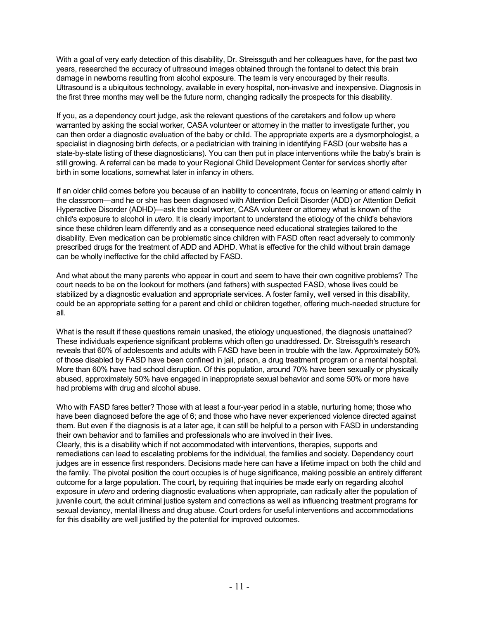With a goal of very early detection of this disability, Dr. Streissguth and her colleagues have, for the past two years, researched the accuracy of ultrasound images obtained through the fontanel to detect this brain damage in newborns resulting from alcohol exposure. The team is very encouraged by their results. Ultrasound is a ubiquitous technology, available in every hospital, non-invasive and inexpensive. Diagnosis in the first three months may well be the future norm, changing radically the prospects for this disability.

If you, as a dependency court judge, ask the relevant questions of the caretakers and follow up where warranted by asking the social worker, CASA volunteer or attorney in the matter to investigate further, you can then order a diagnostic evaluation of the baby or child. The appropriate experts are a dysmorphologist, a specialist in diagnosing birth defects, or a pediatrician with training in identifying FASD (our website has a state-by-state listing of these diagnosticians). You can then put in place interventions while the baby's brain is still growing. A referral can be made to your Regional Child Development Center for services shortly after birth in some locations, somewhat later in infancy in others.

If an older child comes before you because of an inability to concentrate, focus on learning or attend calmly in the classroom—and he or she has been diagnosed with Attention Deficit Disorder (ADD) or Attention Deficit Hyperactive Disorder (ADHD)—ask the social worker, CASA volunteer or attorney what is known of the child's exposure to alcohol in *utero*. It is clearly important to understand the etiology of the child's behaviors since these children learn differently and as a consequence need educational strategies tailored to the disability. Even medication can be problematic since children with FASD often react adversely to commonly prescribed drugs for the treatment of ADD and ADHD. What is effective for the child without brain damage can be wholly ineffective for the child affected by FASD.

And what about the many parents who appear in court and seem to have their own cognitive problems? The court needs to be on the lookout for mothers (and fathers) with suspected FASD, whose lives could be stabilized by a diagnostic evaluation and appropriate services. A foster family, well versed in this disability, could be an appropriate setting for a parent and child or children together, offering much-needed structure for all.

What is the result if these questions remain unasked, the etiology unquestioned, the diagnosis unattained? These individuals experience significant problems which often go unaddressed. Dr. Streissguth's research reveals that 60% of adolescents and adults with FASD have been in trouble with the law. Approximately 50% of those disabled by FASD have been confined in jail, prison, a drug treatment program or a mental hospital. More than 60% have had school disruption. Of this population, around 70% have been sexually or physically abused, approximately 50% have engaged in inappropriate sexual behavior and some 50% or more have had problems with drug and alcohol abuse.

Who with FASD fares better? Those with at least a four-year period in a stable, nurturing home; those who have been diagnosed before the age of 6; and those who have never experienced violence directed against them. But even if the diagnosis is at a later age, it can still be helpful to a person with FASD in understanding their own behavior and to families and professionals who are involved in their lives. Clearly, this is a disability which if not accommodated with interventions, therapies, supports and remediations can lead to escalating problems for the individual, the families and society. Dependency court judges are in essence first responders. Decisions made here can have a lifetime impact on both the child and the family. The pivotal position the court occupies is of huge significance, making possible an entirely different outcome for a large population. The court, by requiring that inquiries be made early on regarding alcohol exposure in *utero* and ordering diagnostic evaluations when appropriate, can radically alter the population of juvenile court, the adult criminal justice system and corrections as well as influencing treatment programs for sexual deviancy, mental illness and drug abuse. Court orders for useful interventions and accommodations for this disability are well justified by the potential for improved outcomes.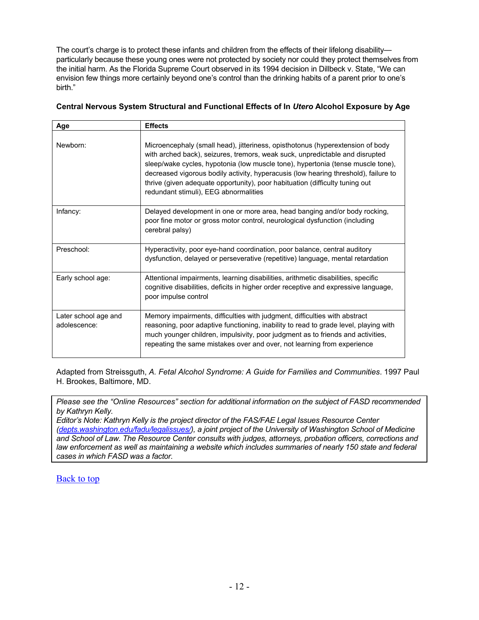The court's charge is to protect these infants and children from the effects of their lifelong disability particularly because these young ones were not protected by society nor could they protect themselves from the initial harm. As the Florida Supreme Court observed in its 1994 decision in Dillbeck v. State, "We can envision few things more certainly beyond one's control than the drinking habits of a parent prior to one's birth."

## **Central Nervous System Structural and Functional Effects of In** *Utero* **Alcohol Exposure by Age**

| Age                                  | <b>Effects</b>                                                                                                                                                                                                                                                                                                                                                                                                                                                    |
|--------------------------------------|-------------------------------------------------------------------------------------------------------------------------------------------------------------------------------------------------------------------------------------------------------------------------------------------------------------------------------------------------------------------------------------------------------------------------------------------------------------------|
| Newborn:                             | Microencephaly (small head), jitteriness, opisthotonus (hyperextension of body<br>with arched back), seizures, tremors, weak suck, unpredictable and disrupted<br>sleep/wake cycles, hypotonia (low muscle tone), hypertonia (tense muscle tone),<br>decreased vigorous bodily activity, hyperacusis (low hearing threshold), failure to<br>thrive (given adequate opportunity), poor habituation (difficulty tuning out<br>redundant stimuli), EEG abnormalities |
| Infancy:                             | Delayed development in one or more area, head banging and/or body rocking,<br>poor fine motor or gross motor control, neurological dysfunction (including<br>cerebral palsy)                                                                                                                                                                                                                                                                                      |
| Preschool:                           | Hyperactivity, poor eye-hand coordination, poor balance, central auditory<br>dysfunction, delayed or perseverative (repetitive) language, mental retardation                                                                                                                                                                                                                                                                                                      |
| Early school age:                    | Attentional impairments, learning disabilities, arithmetic disabilities, specific<br>cognitive disabilities, deficits in higher order receptive and expressive language,<br>poor impulse control                                                                                                                                                                                                                                                                  |
| Later school age and<br>adolescence: | Memory impairments, difficulties with judgment, difficulties with abstract<br>reasoning, poor adaptive functioning, inability to read to grade level, playing with<br>much younger children, impulsivity, poor judgment as to friends and activities,<br>repeating the same mistakes over and over, not learning from experience                                                                                                                                  |

Adapted from Streissguth, *A. Fetal Alcohol Syndrome: A Guide for Families and Communities*. 1997 Paul H. Brookes, Baltimore, MD.

*Please see the "Online Resources" section for additional information on the subject of FASD recommended by Kathryn Kelly.* 

*Editor's Note: Kathryn Kelly is the project director of the FAS/FAE Legal Issues Resource Center [\(depts.washington.edu/fadu/legalissues/](http://depts.washington.edu/fadu/legalissues/)), a joint project of the University of Washington School of Medicine and School of Law. The Resource Center consults with judges, attorneys, probation officers, corrections and law enforcement as well as maintaining a website which includes summaries of nearly 150 state and federal cases in which FASD was a factor.*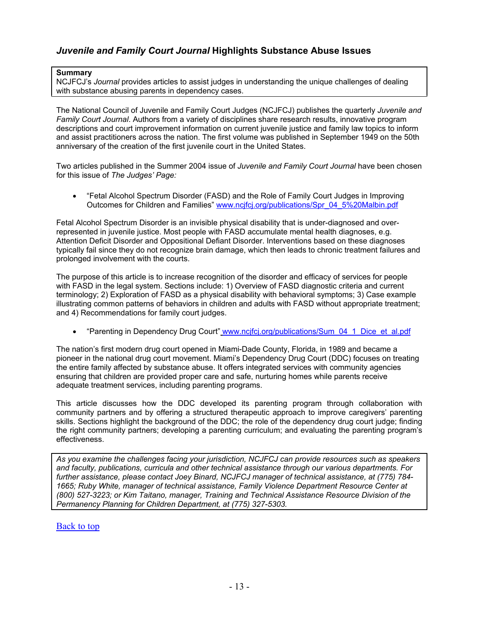# <span id="page-12-0"></span>*Juvenile and Family Court Journal* **Highlights Substance Abuse Issues**

## **Summary**

NCJFCJ's *Journal* provides articles to assist judges in understanding the unique challenges of dealing with substance abusing parents in dependency cases.

The National Council of Juvenile and Family Court Judges (NCJFCJ) publishes the quarterly *Juvenile and Family Court Journal*. Authors from a variety of disciplines share research results, innovative program descriptions and court improvement information on current juvenile justice and family law topics to inform and assist practitioners across the nation. The first volume was published in September 1949 on the 50th anniversary of the creation of the first juvenile court in the United States.

Two articles published in the Summer 2004 issue of *Juvenile and Family Court Journal* have been chosen for this issue of *The Judges' Page:*

• "Fetal Alcohol Spectrum Disorder (FASD) and the Role of Family Court Judges in Improving Outcomes for Children and Families" [www.ncjfcj.org/publications/Spr\\_04\\_5%20Malbin.pdf](http://www.ncjfcj.org/publications/Spr_04_5 Malbin.pdf) 

Fetal Alcohol Spectrum Disorder is an invisible physical disability that is under-diagnosed and overrepresented in juvenile justice. Most people with FASD accumulate mental health diagnoses, e.g. Attention Deficit Disorder and Oppositional Defiant Disorder. Interventions based on these diagnoses typically fail since they do not recognize brain damage, which then leads to chronic treatment failures and prolonged involvement with the courts.

The purpose of this article is to increase recognition of the disorder and efficacy of services for people with FASD in the legal system. Sections include: 1) Overview of FASD diagnostic criteria and current terminology; 2) Exploration of FASD as a physical disability with behavioral symptoms; 3) Case example illustrating common patterns of behaviors in children and adults with FASD without appropriate treatment; and 4) Recommendations for family court judges.

• "Parenting in Dependency Drug Court" [www.ncjfcj.org/publications/Sum\\_04\\_1\\_Dice\\_et\\_al.pdf](http://www.ncjfcj.org/publications/Sum_04_1_Dice_et_al.pdf)

The nation's first modern drug court opened in Miami-Dade County, Florida, in 1989 and became a pioneer in the national drug court movement. Miami's Dependency Drug Court (DDC) focuses on treating the entire family affected by substance abuse. It offers integrated services with community agencies ensuring that children are provided proper care and safe, nurturing homes while parents receive adequate treatment services, including parenting programs.

This article discusses how the DDC developed its parenting program through collaboration with community partners and by offering a structured therapeutic approach to improve caregivers' parenting skills. Sections highlight the background of the DDC; the role of the dependency drug court judge; finding the right community partners; developing a parenting curriculum; and evaluating the parenting program's effectiveness.

*As you examine the challenges facing your jurisdiction, NCJFCJ can provide resources such as speakers and faculty, publications, curricula and other technical assistance through our various departments. For further assistance, please contact Joey Binard, NCJFCJ manager of technical assistance, at (775) 784- 1665; Ruby White, manager of technical assistance, Family Violence Department Resource Center at (800) 527-3223; or Kim Taitano, manager, Training and Technical Assistance Resource Division of the Permanency Planning for Children Department, at (775) 327-5303.*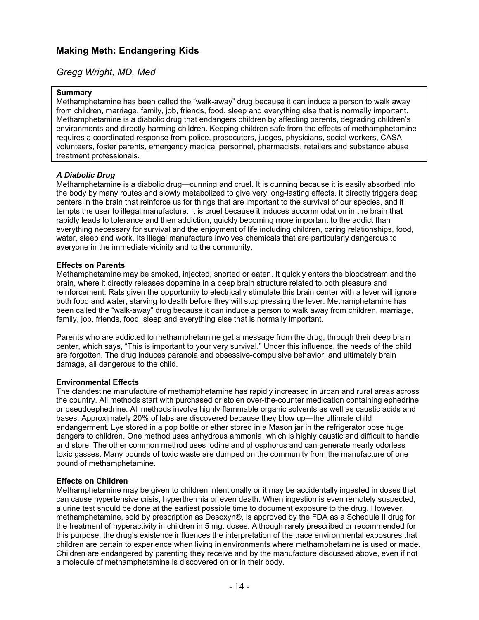# <span id="page-13-0"></span>**Making Meth: Endangering Kids**

# *Gregg Wright, MD, Med*

## **Summary**

Methamphetamine has been called the "walk-away" drug because it can induce a person to walk away from children, marriage, family, job, friends, food, sleep and everything else that is normally important. Methamphetamine is a diabolic drug that endangers children by affecting parents, degrading children's environments and directly harming children. Keeping children safe from the effects of methamphetamine requires a coordinated response from police, prosecutors, judges, physicians, social workers, CASA volunteers, foster parents, emergency medical personnel, pharmacists, retailers and substance abuse treatment professionals.

## *A Diabolic Drug*

Methamphetamine is a diabolic drug—cunning and cruel. It is cunning because it is easily absorbed into the body by many routes and slowly metabolized to give very long-lasting effects. It directly triggers deep centers in the brain that reinforce us for things that are important to the survival of our species, and it tempts the user to illegal manufacture. It is cruel because it induces accommodation in the brain that rapidly leads to tolerance and then addiction, quickly becoming more important to the addict than everything necessary for survival and the enjoyment of life including children, caring relationships, food, water, sleep and work. Its illegal manufacture involves chemicals that are particularly dangerous to everyone in the immediate vicinity and to the community.

## **Effects on Parents**

Methamphetamine may be smoked, injected, snorted or eaten. It quickly enters the bloodstream and the brain, where it directly releases dopamine in a deep brain structure related to both pleasure and reinforcement. Rats given the opportunity to electrically stimulate this brain center with a lever will ignore both food and water, starving to death before they will stop pressing the lever. Methamphetamine has been called the "walk-away" drug because it can induce a person to walk away from children, marriage, family, job, friends, food, sleep and everything else that is normally important.

Parents who are addicted to methamphetamine get a message from the drug, through their deep brain center, which says, "This is important to your very survival." Under this influence, the needs of the child are forgotten. The drug induces paranoia and obsessive-compulsive behavior, and ultimately brain damage, all dangerous to the child.

## **Environmental Effects**

The clandestine manufacture of methamphetamine has rapidly increased in urban and rural areas across the country. All methods start with purchased or stolen over-the-counter medication containing ephedrine or pseudoephedrine. All methods involve highly flammable organic solvents as well as caustic acids and bases. Approximately 20% of labs are discovered because they blow up—the ultimate child endangerment. Lye stored in a pop bottle or ether stored in a Mason jar in the refrigerator pose huge dangers to children. One method uses anhydrous ammonia, which is highly caustic and difficult to handle and store. The other common method uses iodine and phosphorus and can generate nearly odorless toxic gasses. Many pounds of toxic waste are dumped on the community from the manufacture of one pound of methamphetamine.

## **Effects on Children**

Methamphetamine may be given to children intentionally or it may be accidentally ingested in doses that can cause hypertensive crisis, hyperthermia or even death. When ingestion is even remotely suspected, a urine test should be done at the earliest possible time to document exposure to the drug. However, methamphetamine, sold by prescription as Desoxyn®, is approved by the FDA as a Schedule II drug for the treatment of hyperactivity in children in 5 mg. doses. Although rarely prescribed or recommended for this purpose, the drug's existence influences the interpretation of the trace environmental exposures that children are certain to experience when living in environments where methamphetamine is used or made. Children are endangered by parenting they receive and by the manufacture discussed above, even if not a molecule of methamphetamine is discovered on or in their body.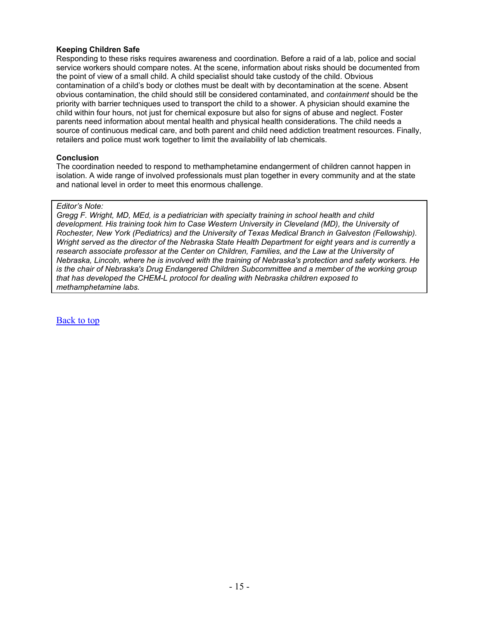## **Keeping Children Safe**

Responding to these risks requires awareness and coordination. Before a raid of a lab, police and social service workers should compare notes. At the scene, information about risks should be documented from the point of view of a small child. A child specialist should take custody of the child. Obvious contamination of a child's body or clothes must be dealt with by decontamination at the scene. Absent obvious contamination, the child should still be considered contaminated, and *containment* should be the priority with barrier techniques used to transport the child to a shower. A physician should examine the child within four hours, not just for chemical exposure but also for signs of abuse and neglect. Foster parents need information about mental health and physical health considerations. The child needs a source of continuous medical care, and both parent and child need addiction treatment resources. Finally, retailers and police must work together to limit the availability of lab chemicals.

## **Conclusion**

The coordination needed to respond to methamphetamine endangerment of children cannot happen in isolation. A wide range of involved professionals must plan together in every community and at the state and national level in order to meet this enormous challenge.

## *Editor's Note:*

*Gregg F. Wright, MD, MEd, is a pediatrician with specialty training in school health and child development. His training took him to Case Western University in Cleveland (MD), the University of Rochester, New York (Pediatrics) and the University of Texas Medical Branch in Galveston (Fellowship). Wright served as the director of the Nebraska State Health Department for eight years and is currently a research associate professor at the Center on Children, Families, and the Law at the University of Nebraska, Lincoln, where he is involved with the training of Nebraska's protection and safety workers. He is the chair of Nebraska's Drug Endangered Children Subcommittee and a member of the working group that has developed the CHEM-L protocol for dealing with Nebraska children exposed to methamphetamine labs.*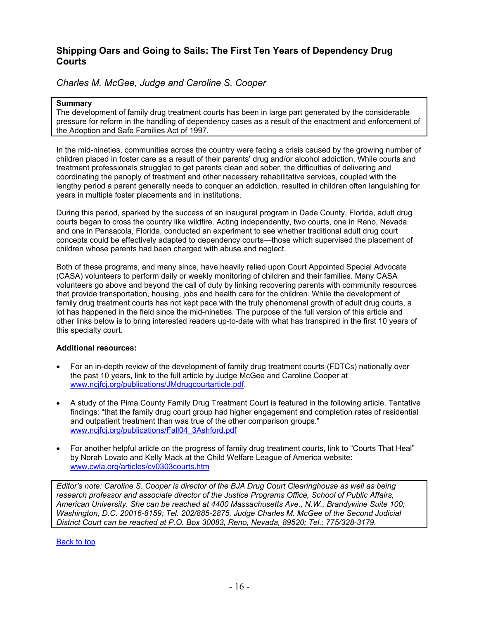# <span id="page-15-0"></span>**Shipping Oars and Going to Sails: The First Ten Years of Dependency Drug Courts**

# *Charles M. McGee, Judge and Caroline S. Cooper*

## **Summary**

The development of family drug treatment courts has been in large part generated by the considerable pressure for reform in the handling of dependency cases as a result of the enactment and enforcement of the Adoption and Safe Families Act of 1997.

In the mid-nineties, communities across the country were facing a crisis caused by the growing number of children placed in foster care as a result of their parents' drug and/or alcohol addiction. While courts and treatment professionals struggled to get parents clean and sober, the difficulties of delivering and coordinating the panoply of treatment and other necessary rehabilitative services, coupled with the lengthy period a parent generally needs to conquer an addiction, resulted in children often languishing for years in multiple foster placements and in institutions.

During this period, sparked by the success of an inaugural program in Dade County, Florida, adult drug courts began to cross the country like wildfire. Acting independently, two courts, one in Reno, Nevada and one in Pensacola, Florida, conducted an experiment to see whether traditional adult drug court concepts could be effectively adapted to dependency courts—those which supervised the placement of children whose parents had been charged with abuse and neglect.

Both of these programs, and many since, have heavily relied upon Court Appointed Special Advocate (CASA) volunteers to perform daily or weekly monitoring of children and their families. Many CASA volunteers go above and beyond the call of duty by linking recovering parents with community resources that provide transportation, housing, jobs and health care for the children. While the development of family drug treatment courts has not kept pace with the truly phenomenal growth of adult drug courts, a lot has happened in the field since the mid-nineties. The purpose of the full version of this article and other links below is to bring interested readers up-to-date with what has transpired in the first 10 years of this specialty court.

## **Additional resources:**

- For an in-depth review of the development of family drug treatment courts (FDTCs) nationally over the past 10 years, link to the full article by Judge McGee and Caroline Cooper at [www.ncjfcj.org/publications/JMdrugcourtarticle.pdf.](http://www.ncjfcj.org/publications/JMdrugcourtarticle.pdf)
- A study of the Pima County Family Drug Treatment Court is featured in the following article. Tentative findings: "that the family drug court group had higher engagement and completion rates of residential and outpatient treatment than was true of the other comparison groups." [www.ncjfcj.org/publications/Fall04\\_3Ashford.pdf](http://www.ncjfcj.org/publications/Fall04_3Ashford.pdf)
- For another helpful article on the progress of family drug treatment courts, link to "Courts That Heal" by Norah Lovato and Kelly Mack at the Child Welfare League of America website: [www.cwla.org/articles/cv0303courts.htm](http://www.cwla.org/articles/cv0303courts.htm)

*Editor's note: Caroline S. Cooper is director of the BJA Drug Court Clearinghouse as well as being research professor and associate director of the Justice Programs Office, School of Public Affairs, American University. She can be reached at 4400 Massachusetts Ave., N.W., Brandywine Suite 100; Washington, D.C. 20016-8159; Tel. 202/885-2875. Judge Charles M. McGee of the Second Judicial District Court can be reached at P.O. Box 30083, Reno, Nevada, 89520; Tel.: 775/328-3179.*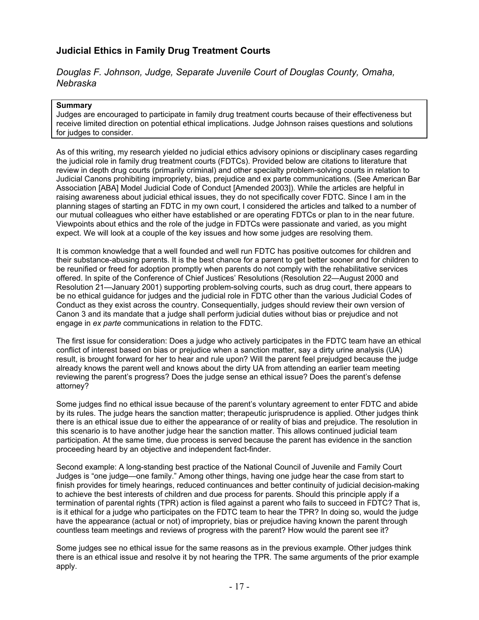# <span id="page-16-0"></span>**Judicial Ethics in Family Drug Treatment Courts**

# *Douglas F. Johnson, Judge, Separate Juvenile Court of Douglas County, Omaha, Nebraska*

## **Summary**

Judges are encouraged to participate in family drug treatment courts because of their effectiveness but receive limited direction on potential ethical implications. Judge Johnson raises questions and solutions for judges to consider.

As of this writing, my research yielded no judicial ethics advisory opinions or disciplinary cases regarding the judicial role in family drug treatment courts (FDTCs). Provided below are citations to literature that review in depth drug courts (primarily criminal) and other specialty problem-solving courts in relation to Judicial Canons prohibiting impropriety, bias, prejudice and ex parte communications. (See American Bar Association [ABA] Model Judicial Code of Conduct [Amended 2003]). While the articles are helpful in raising awareness about judicial ethical issues, they do not specifically cover FDTC. Since I am in the planning stages of starting an FDTC in my own court, I considered the articles and talked to a number of our mutual colleagues who either have established or are operating FDTCs or plan to in the near future. Viewpoints about ethics and the role of the judge in FDTCs were passionate and varied, as you might expect. We will look at a couple of the key issues and how some judges are resolving them.

It is common knowledge that a well founded and well run FDTC has positive outcomes for children and their substance-abusing parents. It is the best chance for a parent to get better sooner and for children to be reunified or freed for adoption promptly when parents do not comply with the rehabilitative services offered. In spite of the Conference of Chief Justices' Resolutions (Resolution 22—August 2000 and Resolution 21—January 2001) supporting problem-solving courts, such as drug court, there appears to be no ethical guidance for judges and the judicial role in FDTC other than the various Judicial Codes of Conduct as they exist across the country. Consequentially, judges should review their own version of Canon 3 and its mandate that a judge shall perform judicial duties without bias or prejudice and not engage in *ex parte* communications in relation to the FDTC.

The first issue for consideration: Does a judge who actively participates in the FDTC team have an ethical conflict of interest based on bias or prejudice when a sanction matter, say a dirty urine analysis (UA) result, is brought forward for her to hear and rule upon? Will the parent feel prejudged because the judge already knows the parent well and knows about the dirty UA from attending an earlier team meeting reviewing the parent's progress? Does the judge sense an ethical issue? Does the parent's defense attorney?

Some judges find no ethical issue because of the parent's voluntary agreement to enter FDTC and abide by its rules. The judge hears the sanction matter; therapeutic jurisprudence is applied. Other judges think there is an ethical issue due to either the appearance of or reality of bias and prejudice. The resolution in this scenario is to have another judge hear the sanction matter. This allows continued judicial team participation. At the same time, due process is served because the parent has evidence in the sanction proceeding heard by an objective and independent fact-finder.

Second example: A long-standing best practice of the National Council of Juvenile and Family Court Judges is "one judge—one family." Among other things, having one judge hear the case from start to finish provides for timely hearings, reduced continuances and better continuity of judicial decision-making to achieve the best interests of children and due process for parents. Should this principle apply if a termination of parental rights (TPR) action is filed against a parent who fails to succeed in FDTC? That is, is it ethical for a judge who participates on the FDTC team to hear the TPR? In doing so, would the judge have the appearance (actual or not) of impropriety, bias or prejudice having known the parent through countless team meetings and reviews of progress with the parent? How would the parent see it?

Some judges see no ethical issue for the same reasons as in the previous example. Other judges think there is an ethical issue and resolve it by not hearing the TPR. The same arguments of the prior example apply.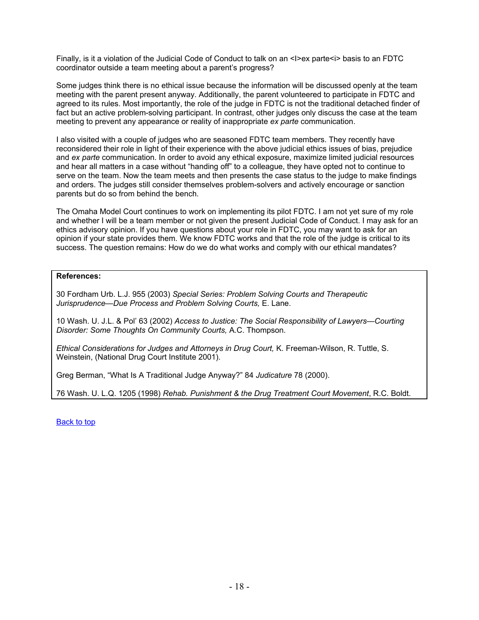Finally, is it a violation of the Judicial Code of Conduct to talk on an <I>ex parte<i>basis to an FDTC coordinator outside a team meeting about a parent's progress?

Some judges think there is no ethical issue because the information will be discussed openly at the team meeting with the parent present anyway. Additionally, the parent volunteered to participate in FDTC and agreed to its rules. Most importantly, the role of the judge in FDTC is not the traditional detached finder of fact but an active problem-solving participant. In contrast, other judges only discuss the case at the team meeting to prevent any appearance or reality of inappropriate *ex parte* communication.

I also visited with a couple of judges who are seasoned FDTC team members. They recently have reconsidered their role in light of their experience with the above judicial ethics issues of bias, prejudice and *ex parte* communication. In order to avoid any ethical exposure, maximize limited judicial resources and hear all matters in a case without "handing off" to a colleague, they have opted not to continue to serve on the team. Now the team meets and then presents the case status to the judge to make findings and orders. The judges still consider themselves problem-solvers and actively encourage or sanction parents but do so from behind the bench.

The Omaha Model Court continues to work on implementing its pilot FDTC. I am not yet sure of my role and whether I will be a team member or not given the present Judicial Code of Conduct. I may ask for an ethics advisory opinion. If you have questions about your role in FDTC, you may want to ask for an opinion if your state provides them. We know FDTC works and that the role of the judge is critical to its success. The question remains: How do we do what works and comply with our ethical mandates?

## **References:**

30 Fordham Urb. L.J. 955 (2003) *Special Series: Problem Solving Courts and Therapeutic Jurisprudence—Due Process and Problem Solving Courts,* E. Lane.

10 Wash. U. J.L. & Pol' 63 (2002) *Access to Justice: The Social Responsibility of Lawyers—Courting Disorder: Some Thoughts On Community Courts,* A.C. Thompson.

*Ethical Considerations for Judges and Attorneys in Drug Court,* K. Freeman-Wilson, R. Tuttle, S. Weinstein, (National Drug Court Institute 2001).

Greg Berman, "What Is A Traditional Judge Anyway?" 84 *Judicature* 78 (2000).

76 Wash. U. L.Q. 1205 (1998) *Rehab. Punishment & the Drug Treatment Court Movement*, R.C. Boldt.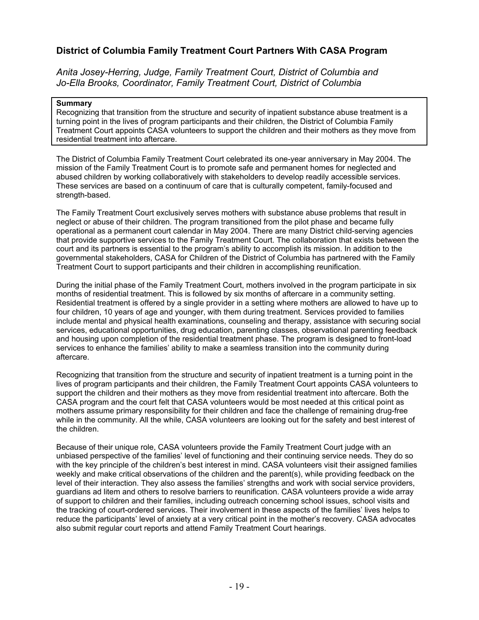# <span id="page-18-0"></span>**District of Columbia Family Treatment Court Partners With CASA Program**

*Anita Josey-Herring, Judge, Family Treatment Court, District of Columbia and Jo-Ella Brooks, Coordinator, Family Treatment Court, District of Columbia* 

## **Summary**

Recognizing that transition from the structure and security of inpatient substance abuse treatment is a turning point in the lives of program participants and their children, the District of Columbia Family Treatment Court appoints CASA volunteers to support the children and their mothers as they move from residential treatment into aftercare.

The District of Columbia Family Treatment Court celebrated its one-year anniversary in May 2004. The mission of the Family Treatment Court is to promote safe and permanent homes for neglected and abused children by working collaboratively with stakeholders to develop readily accessible services. These services are based on a continuum of care that is culturally competent, family-focused and strength-based.

The Family Treatment Court exclusively serves mothers with substance abuse problems that result in neglect or abuse of their children. The program transitioned from the pilot phase and became fully operational as a permanent court calendar in May 2004. There are many District child-serving agencies that provide supportive services to the Family Treatment Court. The collaboration that exists between the court and its partners is essential to the program's ability to accomplish its mission. In addition to the governmental stakeholders, CASA for Children of the District of Columbia has partnered with the Family Treatment Court to support participants and their children in accomplishing reunification.

During the initial phase of the Family Treatment Court, mothers involved in the program participate in six months of residential treatment. This is followed by six months of aftercare in a community setting. Residential treatment is offered by a single provider in a setting where mothers are allowed to have up to four children, 10 years of age and younger, with them during treatment. Services provided to families include mental and physical health examinations, counseling and therapy, assistance with securing social services, educational opportunities, drug education, parenting classes, observational parenting feedback and housing upon completion of the residential treatment phase. The program is designed to front-load services to enhance the families' ability to make a seamless transition into the community during aftercare.

Recognizing that transition from the structure and security of inpatient treatment is a turning point in the lives of program participants and their children, the Family Treatment Court appoints CASA volunteers to support the children and their mothers as they move from residential treatment into aftercare. Both the CASA program and the court felt that CASA volunteers would be most needed at this critical point as mothers assume primary responsibility for their children and face the challenge of remaining drug-free while in the community. All the while, CASA volunteers are looking out for the safety and best interest of the children.

Because of their unique role, CASA volunteers provide the Family Treatment Court judge with an unbiased perspective of the families' level of functioning and their continuing service needs. They do so with the key principle of the children's best interest in mind. CASA volunteers visit their assigned families weekly and make critical observations of the children and the parent(s), while providing feedback on the level of their interaction. They also assess the families' strengths and work with social service providers, guardians ad litem and others to resolve barriers to reunification. CASA volunteers provide a wide array of support to children and their families, including outreach concerning school issues, school visits and the tracking of court-ordered services. Their involvement in these aspects of the families' lives helps to reduce the participants' level of anxiety at a very critical point in the mother's recovery. CASA advocates also submit regular court reports and attend Family Treatment Court hearings.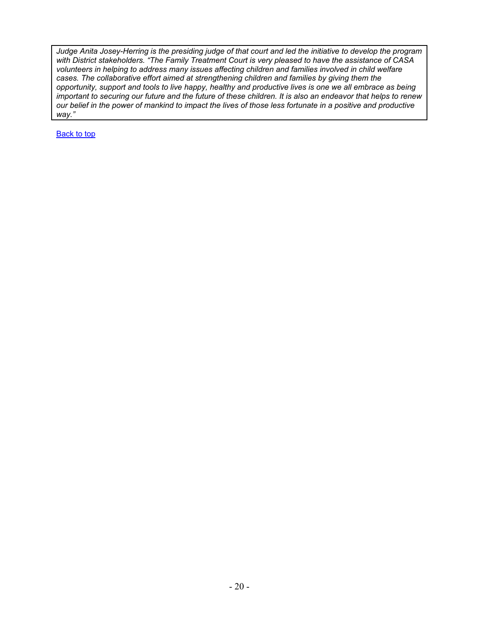*Judge Anita Josey-Herring is the presiding judge of that court and led the initiative to develop the program with District stakeholders. "The Family Treatment Court is very pleased to have the assistance of CASA volunteers in helping to address many issues affecting children and families involved in child welfare cases. The collaborative effort aimed at strengthening children and families by giving them the opportunity, support and tools to live happy, healthy and productive lives is one we all embrace as being important to securing our future and the future of these children. It is also an endeavor that helps to renew our belief in the power of mankind to impact the lives of those less fortunate in a positive and productive way."*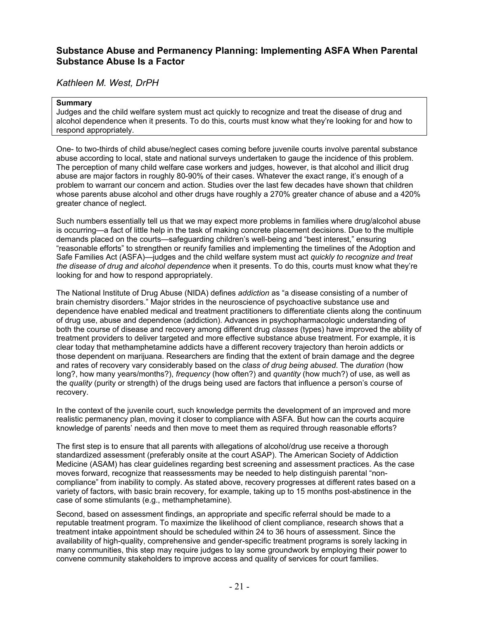# <span id="page-20-0"></span>**Substance Abuse and Permanency Planning: Implementing ASFA When Parental Substance Abuse Is a Factor**

*Kathleen M. West, DrPH*

## **Summary**

Judges and the child welfare system must act quickly to recognize and treat the disease of drug and alcohol dependence when it presents. To do this, courts must know what they're looking for and how to respond appropriately.

One- to two-thirds of child abuse/neglect cases coming before juvenile courts involve parental substance abuse according to local, state and national surveys undertaken to gauge the incidence of this problem. The perception of many child welfare case workers and judges, however, is that alcohol and illicit drug abuse are major factors in roughly 80-90% of their cases. Whatever the exact range, it's enough of a problem to warrant our concern and action. Studies over the last few decades have shown that children whose parents abuse alcohol and other drugs have roughly a 270% greater chance of abuse and a 420% greater chance of neglect.

Such numbers essentially tell us that we may expect more problems in families where drug/alcohol abuse is occurring—a fact of little help in the task of making concrete placement decisions. Due to the multiple demands placed on the courts—safeguarding children's well-being and "best interest," ensuring "reasonable efforts" to strengthen or reunify families and implementing the timelines of the Adoption and Safe Families Act (ASFA)—judges and the child welfare system must act *quickly to recognize and treat the disease of drug and alcohol dependence* when it presents. To do this, courts must know what they're looking for and how to respond appropriately.

The National Institute of Drug Abuse (NIDA) defines *addiction* as "a disease consisting of a number of brain chemistry disorders." Major strides in the neuroscience of psychoactive substance use and dependence have enabled medical and treatment practitioners to differentiate clients along the continuum of drug use, abuse and dependence (addiction). Advances in psychopharmacologic understanding of both the course of disease and recovery among different drug *classes* (types) have improved the ability of treatment providers to deliver targeted and more effective substance abuse treatment. For example, it is clear today that methamphetamine addicts have a different recovery trajectory than heroin addicts or those dependent on marijuana. Researchers are finding that the extent of brain damage and the degree and rates of recovery vary considerably based on the *class of drug being abused*. The *duration* (how long?, how many years/months?), *frequency* (how often?) and *quantity* (how much?) of use, as well as the *quality* (purity or strength) of the drugs being used are factors that influence a person's course of recovery.

In the context of the juvenile court, such knowledge permits the development of an improved and more realistic permanency plan, moving it closer to compliance with ASFA. But how can the courts acquire knowledge of parents' needs and then move to meet them as required through reasonable efforts?

The first step is to ensure that all parents with allegations of alcohol/drug use receive a thorough standardized assessment (preferably onsite at the court ASAP). The American Society of Addiction Medicine (ASAM) has clear guidelines regarding best screening and assessment practices. As the case moves forward, recognize that reassessments may be needed to help distinguish parental "noncompliance" from inability to comply. As stated above, recovery progresses at different rates based on a variety of factors, with basic brain recovery, for example, taking up to 15 months post-abstinence in the case of some stimulants (e.g., methamphetamine).

Second, based on assessment findings, an appropriate and specific referral should be made to a reputable treatment program. To maximize the likelihood of client compliance, research shows that a treatment intake appointment should be scheduled within 24 to 36 hours of assessment. Since the availability of high-quality, comprehensive and gender-specific treatment programs is sorely lacking in many communities, this step may require judges to lay some groundwork by employing their power to convene community stakeholders to improve access and quality of services for court families.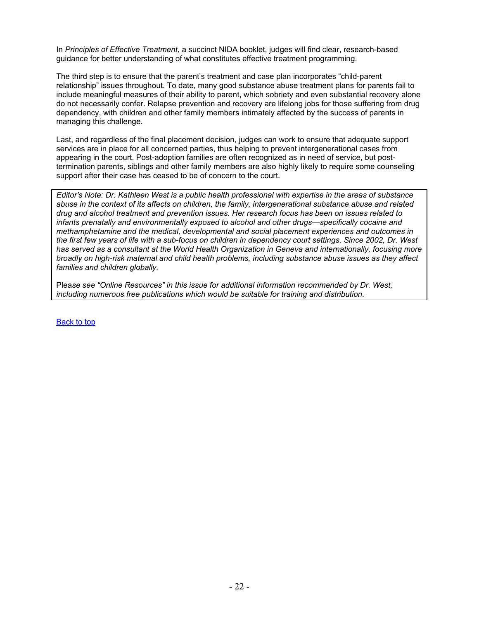In *Principles of Effective Treatment,* a succinct NIDA booklet, judges will find clear, research-based guidance for better understanding of what constitutes effective treatment programming.

The third step is to ensure that the parent's treatment and case plan incorporates "child-parent relationship" issues throughout. To date, many good substance abuse treatment plans for parents fail to include meaningful measures of their ability to parent, which sobriety and even substantial recovery alone do not necessarily confer. Relapse prevention and recovery are lifelong jobs for those suffering from drug dependency, with children and other family members intimately affected by the success of parents in managing this challenge.

Last, and regardless of the final placement decision, judges can work to ensure that adequate support services are in place for all concerned parties, thus helping to prevent intergenerational cases from appearing in the court. Post-adoption families are often recognized as in need of service, but posttermination parents, siblings and other family members are also highly likely to require some counseling support after their case has ceased to be of concern to the court.

*Editor's Note: Dr. Kathleen West is a public health professional with expertise in the areas of substance abuse in the context of its affects on children, the family, intergenerational substance abuse and related drug and alcohol treatment and prevention issues. Her research focus has been on issues related to infants prenatally and environmentally exposed to alcohol and other drugs—specifically cocaine and methamphetamine and the medical, developmental and social placement experiences and outcomes in the first few years of life with a sub-focus on children in dependency court settings. Since 2002, Dr. West has served as a consultant at the World Health Organization in Geneva and internationally, focusing more broadly on high-risk maternal and child health problems, including substance abuse issues as they affect families and children globally.* 

Plea*se see "Online Resources" in this issue for additional information recommended by Dr. West, including numerous free publications which would be suitable for training and distribution.*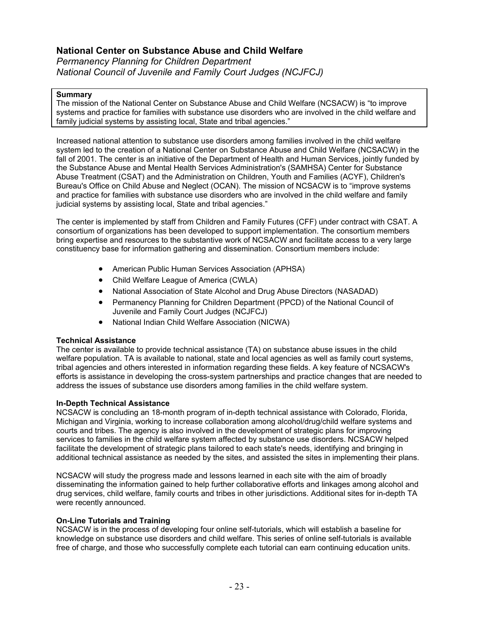# <span id="page-22-0"></span>**National Center on Substance Abuse and Child Welfare**

*Permanency Planning for Children Department National Council of Juvenile and Family Court Judges (NCJFCJ)*

## **Summary**

The mission of the National Center on Substance Abuse and Child Welfare (NCSACW) is "to improve systems and practice for families with substance use disorders who are involved in the child welfare and family judicial systems by assisting local, State and tribal agencies."

Increased national attention to substance use disorders among families involved in the child welfare system led to the creation of a National Center on Substance Abuse and Child Welfare (NCSACW) in the fall of 2001. The center is an initiative of the Department of Health and Human Services, jointly funded by the Substance Abuse and Mental Health Services Administration's (SAMHSA) Center for Substance Abuse Treatment (CSAT) and the Administration on Children, Youth and Families (ACYF), Children's Bureau's Office on Child Abuse and Neglect (OCAN). The mission of NCSACW is to "improve systems and practice for families with substance use disorders who are involved in the child welfare and family judicial systems by assisting local, State and tribal agencies."

The center is implemented by staff from Children and Family Futures (CFF) under contract with CSAT. A consortium of organizations has been developed to support implementation. The consortium members bring expertise and resources to the substantive work of NCSACW and facilitate access to a very large constituency base for information gathering and dissemination. Consortium members include:

- American Public Human Services Association (APHSA)
- Child Welfare League of America (CWLA)
- National Association of State Alcohol and Drug Abuse Directors (NASADAD)
- Permanency Planning for Children Department (PPCD) of the National Council of Juvenile and Family Court Judges (NCJFCJ)
- National Indian Child Welfare Association (NICWA)

## **Technical Assistance**

The center is available to provide technical assistance (TA) on substance abuse issues in the child welfare population. TA is available to national, state and local agencies as well as family court systems, tribal agencies and others interested in information regarding these fields. A key feature of NCSACW's efforts is assistance in developing the cross-system partnerships and practice changes that are needed to address the issues of substance use disorders among families in the child welfare system.

## **In-Depth Technical Assistance**

NCSACW is concluding an 18-month program of in-depth technical assistance with Colorado, Florida, Michigan and Virginia, working to increase collaboration among alcohol/drug/child welfare systems and courts and tribes. The agency is also involved in the development of strategic plans for improving services to families in the child welfare system affected by substance use disorders. NCSACW helped facilitate the development of strategic plans tailored to each state's needs, identifying and bringing in additional technical assistance as needed by the sites, and assisted the sites in implementing their plans.

NCSACW will study the progress made and lessons learned in each site with the aim of broadly disseminating the information gained to help further collaborative efforts and linkages among alcohol and drug services, child welfare, family courts and tribes in other jurisdictions. Additional sites for in-depth TA were recently announced.

## **On-Line Tutorials and Training**

NCSACW is in the process of developing four online self-tutorials, which will establish a baseline for knowledge on substance use disorders and child welfare. This series of online self-tutorials is available free of charge, and those who successfully complete each tutorial can earn continuing education units.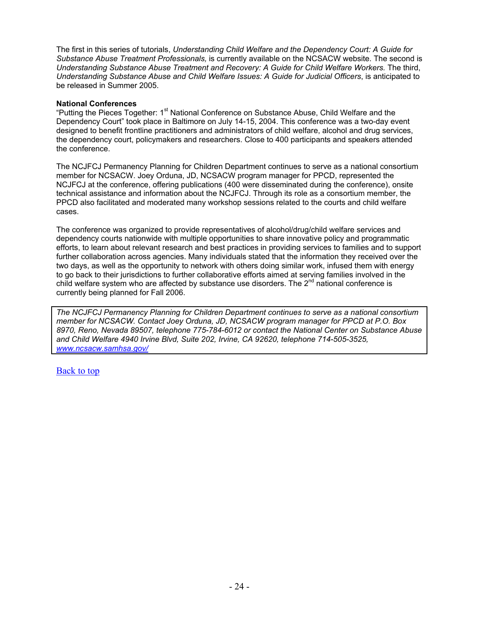The first in this series of tutorials, *Understanding Child Welfare and the Dependency Court: A Guide for Substance Abuse Treatment Professionals,* is currently available on the NCSACW website. The second is *Understanding Substance Abuse Treatment and Recovery: A Guide for Child Welfare Workers.* The third, *Understanding Substance Abuse and Child Welfare Issues: A Guide for Judicial Officers*, is anticipated to be released in Summer 2005.

## **National Conferences**

"Putting the Pieces Together: 1<sup>st</sup> National Conference on Substance Abuse, Child Welfare and the Dependency Court" took place in Baltimore on July 14-15, 2004. This conference was a two-day event designed to benefit frontline practitioners and administrators of child welfare, alcohol and drug services, the dependency court, policymakers and researchers. Close to 400 participants and speakers attended the conference.

The NCJFCJ Permanency Planning for Children Department continues to serve as a national consortium member for NCSACW. Joey Orduna, JD, NCSACW program manager for PPCD, represented the NCJFCJ at the conference, offering publications (400 were disseminated during the conference), onsite technical assistance and information about the NCJFCJ. Through its role as a consortium member, the PPCD also facilitated and moderated many workshop sessions related to the courts and child welfare cases.

The conference was organized to provide representatives of alcohol/drug/child welfare services and dependency courts nationwide with multiple opportunities to share innovative policy and programmatic efforts, to learn about relevant research and best practices in providing services to families and to support further collaboration across agencies. Many individuals stated that the information they received over the two days, as well as the opportunity to network with others doing similar work, infused them with energy to go back to their jurisdictions to further collaborative efforts aimed at serving families involved in the child welfare system who are affected by substance use disorders. The  $2^{nd}$  national conference is currently being planned for Fall 2006.

*The NCJFCJ Permanency Planning for Children Department continues to serve as a national consortium member for NCSACW. Contact Joey Orduna, JD, NCSACW program manager for PPCD at P.O. Box 8970, Reno, Nevada 89507, telephone 775-784-6012 or contact the National Center on Substance Abuse and Child Welfare 4940 Irvine Blvd, Suite 202, Irvine, CA 92620, telephone 714-505-3525, [www.ncsacw.samhsa.gov/](http://www.ncsacw.samhsa.gov/)*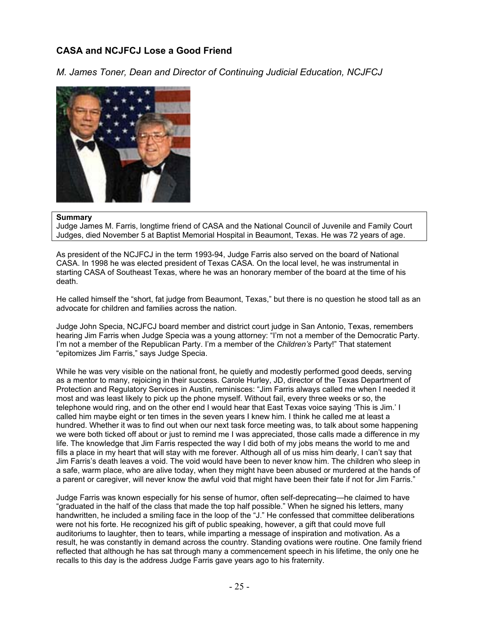# <span id="page-24-0"></span>**CASA and NCJFCJ Lose a Good Friend**

*M. James Toner, Dean and Director of Continuing Judicial Education, NCJFCJ* 



## **Summary**

Judge James M. Farris, longtime friend of CASA and the National Council of Juvenile and Family Court Judges, died November 5 at Baptist Memorial Hospital in Beaumont, Texas. He was 72 years of age.

As president of the NCJFCJ in the term 1993-94, Judge Farris also served on the board of National CASA. In 1998 he was elected president of Texas CASA. On the local level, he was instrumental in starting CASA of Southeast Texas, where he was an honorary member of the board at the time of his death.

He called himself the "short, fat judge from Beaumont, Texas," but there is no question he stood tall as an advocate for children and families across the nation.

Judge John Specia, NCJFCJ board member and district court judge in San Antonio, Texas, remembers hearing Jim Farris when Judge Specia was a young attorney: "I'm not a member of the Democratic Party. I'm not a member of the Republican Party. I'm a member of the *Children's* Party!" That statement "epitomizes Jim Farris," says Judge Specia.

While he was very visible on the national front, he quietly and modestly performed good deeds, serving as a mentor to many, rejoicing in their success. Carole Hurley, JD, director of the Texas Department of Protection and Regulatory Services in Austin, reminisces: "Jim Farris always called me when I needed it most and was least likely to pick up the phone myself. Without fail, every three weeks or so, the telephone would ring, and on the other end I would hear that East Texas voice saying 'This is Jim.' I called him maybe eight or ten times in the seven years I knew him. I think he called me at least a hundred. Whether it was to find out when our next task force meeting was, to talk about some happening we were both ticked off about or just to remind me I was appreciated, those calls made a difference in my life. The knowledge that Jim Farris respected the way I did both of my jobs means the world to me and fills a place in my heart that will stay with me forever. Although all of us miss him dearly, I can't say that Jim Farris's death leaves a void. The void would have been to never know him. The children who sleep in a safe, warm place, who are alive today, when they might have been abused or murdered at the hands of a parent or caregiver, will never know the awful void that might have been their fate if not for Jim Farris."

Judge Farris was known especially for his sense of humor, often self-deprecating—he claimed to have "graduated in the half of the class that made the top half possible." When he signed his letters, many handwritten, he included a smiling face in the loop of the "J." He confessed that committee deliberations were not his forte. He recognized his gift of public speaking, however, a gift that could move full auditoriums to laughter, then to tears, while imparting a message of inspiration and motivation. As a result, he was constantly in demand across the country. Standing ovations were routine. One family friend reflected that although he has sat through many a commencement speech in his lifetime, the only one he recalls to this day is the address Judge Farris gave years ago to his fraternity.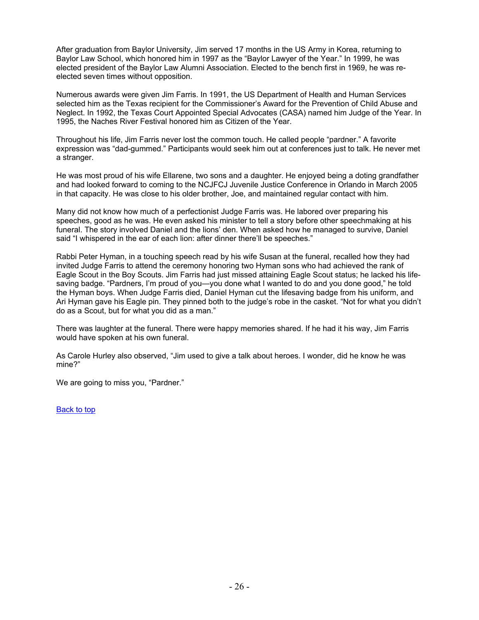After graduation from Baylor University, Jim served 17 months in the US Army in Korea, returning to Baylor Law School, which honored him in 1997 as the "Baylor Lawyer of the Year." In 1999, he was elected president of the Baylor Law Alumni Association. Elected to the bench first in 1969, he was reelected seven times without opposition.

Numerous awards were given Jim Farris. In 1991, the US Department of Health and Human Services selected him as the Texas recipient for the Commissioner's Award for the Prevention of Child Abuse and Neglect. In 1992, the Texas Court Appointed Special Advocates (CASA) named him Judge of the Year. In 1995, the Naches River Festival honored him as Citizen of the Year.

Throughout his life, Jim Farris never lost the common touch. He called people "pardner." A favorite expression was "dad-gummed." Participants would seek him out at conferences just to talk. He never met a stranger.

He was most proud of his wife Ellarene, two sons and a daughter. He enjoyed being a doting grandfather and had looked forward to coming to the NCJFCJ Juvenile Justice Conference in Orlando in March 2005 in that capacity. He was close to his older brother, Joe, and maintained regular contact with him.

Many did not know how much of a perfectionist Judge Farris was. He labored over preparing his speeches, good as he was. He even asked his minister to tell a story before other speechmaking at his funeral. The story involved Daniel and the lions' den. When asked how he managed to survive, Daniel said "I whispered in the ear of each lion: after dinner there'll be speeches."

Rabbi Peter Hyman, in a touching speech read by his wife Susan at the funeral, recalled how they had invited Judge Farris to attend the ceremony honoring two Hyman sons who had achieved the rank of Eagle Scout in the Boy Scouts. Jim Farris had just missed attaining Eagle Scout status; he lacked his lifesaving badge. "Pardners, I'm proud of you—you done what I wanted to do and you done good," he told the Hyman boys. When Judge Farris died, Daniel Hyman cut the lifesaving badge from his uniform, and Ari Hyman gave his Eagle pin. They pinned both to the judge's robe in the casket. "Not for what you didn't do as a Scout, but for what you did as a man."

There was laughter at the funeral. There were happy memories shared. If he had it his way, Jim Farris would have spoken at his own funeral.

As Carole Hurley also observed, "Jim used to give a talk about heroes. I wonder, did he know he was mine?"

We are going to miss you, "Pardner."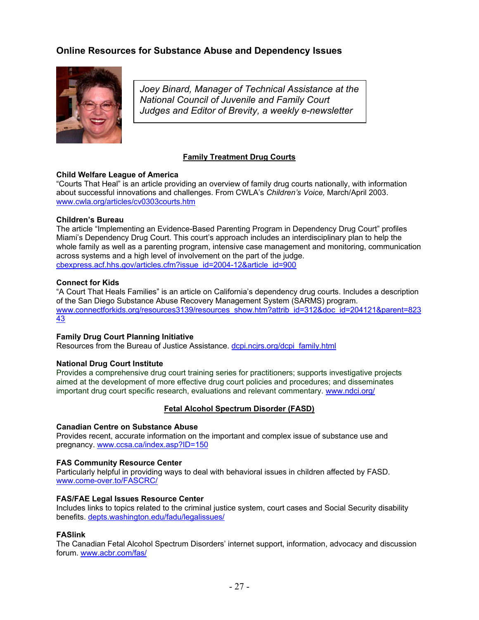# <span id="page-26-0"></span>**Online Resources for Substance Abuse and Dependency Issues**



*Joey Binard, Manager of Technical Assistance at the National Council of Juvenile and Family Court Judges and Editor of Brevity, a weekly e-newsletter* 

## **Family Treatment Drug Courts**

## **Child Welfare League of America**

"Courts That Heal" is an article providing an overview of family drug courts nationally, with information about successful innovations and challenges. From CWLA's *Children's Voice,* March/April 2003. [www.cwla.org/articles/cv0303courts.htm](http://www.cwla.org/articles/cv0303courts.htm)

## **Children's Bureau**

The article "Implementing an Evidence-Based Parenting Program in Dependency Drug Court" profiles Miami's Dependency Drug Court. This court's approach includes an interdisciplinary plan to help the whole family as well as a parenting program, intensive case management and monitoring, communication across systems and a high level of involvement on the part of the judge. [cbexpress.acf.hhs.gov/articles.cfm?issue\\_id=2004-12&article\\_id=900](http://cbexpress.acf.hhs.gov/articles.cfm?issue_id=2004-12&article_id=900)

## **Connect for Kids**

"A Court That Heals Families" is an article on California's dependency drug courts. Includes a description of the San Diego Substance Abuse Recovery Management System (SARMS) program. [www.connectforkids.org/resources3139/resources\\_show.htm?attrib\\_id=312&doc\\_id=204121&parent=823](http://www.connectforkids.org/resources3139/resources_show.htm?attrib_id=312&doc_id=204121&parent=82343) [43](http://www.connectforkids.org/resources3139/resources_show.htm?attrib_id=312&doc_id=204121&parent=82343)

## **Family Drug Court Planning Initiative**

Resources from the Bureau of Justice Assistance. [dcpi.ncjrs.org/dcpi\\_family.html](http://dcpi.ncjrs.org/dcpi_family.html)

## **National Drug Court Institute**

Provides a comprehensive drug court training series for practitioners; supports investigative projects aimed at the development of more effective drug court policies and procedures; and disseminates important drug court specific research, evaluations and relevant commentary. [www.ndci.org/](http://www.ndci.org/)

## **Fetal Alcohol Spectrum Disorder (FASD)**

## **Canadian Centre on Substance Abuse**

Provides recent, accurate information on the important and complex issue of substance use and pregnancy. [www.ccsa.ca/index.asp?ID=150](http://www.ccsa.ca/index.asp?ID=150)

## **FAS Community Resource Center**

Particularly helpful in providing ways to deal with behavioral issues in children affected by FASD. [www.come-over.to/FASCRC/](http://www.come-over.to/FASCRC/) 

## **FAS/FAE Legal Issues Resource Center**

Includes links to topics related to the criminal justice system, court cases and Social Security disability benefits. [depts.washington.edu/fadu/legalissues/](http://depts.washington.edu/fadu/legalissues/)

## **FASlink**

The Canadian Fetal Alcohol Spectrum Disorders' internet support, information, advocacy and discussion forum. [www.acbr.com/fas/](http://www.acbr.com/fas/)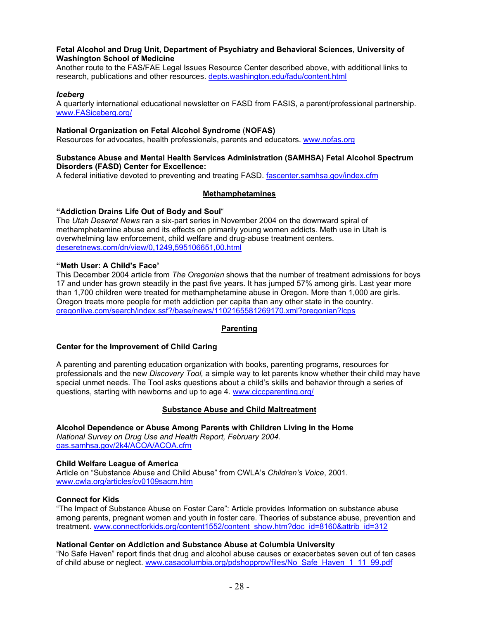## **Fetal Alcohol and Drug Unit, Department of Psychiatry and Behavioral Sciences, University of Washington School of Medicine**

Another route to the FAS/FAE Legal Issues Resource Center described above, with additional links to research, publications and other resources. [depts.washington.edu/fadu/content.html](http://depts.washington.edu/fadu/content.html)

#### *Iceberg*

A quarterly international educational newsletter on FASD from FASIS, a parent/professional partnership. [www.FASiceberg.org/](http://www.fasiceberg.org/) 

#### **National Organization on Fetal Alcohol Syndrome** (**NOFAS)**

Resources for advocates, health professionals, parents and educators. [www.nofas.org](http://www.nofas.org/)

#### **Substance Abuse and Mental Health Services Administration (SAMHSA) Fetal Alcohol Spectrum Disorders (FASD) Center for Excellence:**

A federal initiative devoted to preventing and treating FASD. [fascenter.samhsa.gov/index.cfm](http://fascenter.samhsa.gov/index.cfm) 

## **Methamphetamines**

## **"Addiction Drains Life Out of Body and Soul**"

The *Utah Deseret News* ran a six-part series in November 2004 on the downward spiral of methamphetamine abuse and its effects on primarily young women addicts. Meth use in Utah is overwhelming law enforcement, child welfare and drug-abuse treatment centers. [deseretnews.com/dn/view/0,1249,595106651,00.html](http://deseretnews.com/dn/view/0,1249,595106651,00.html)

## **"Meth User: A Child's Face**"

This December 2004 article from *The Oregonian* shows that the number of treatment admissions for boys 17 and under has grown steadily in the past five years. It has jumped 57% among girls. Last year more than 1,700 children were treated for methamphetamine abuse in Oregon. More than 1,000 are girls. Oregon treats more people for meth addiction per capita than any other state in the country. [oregonlive.com/search/index.ssf?/base/news/1102165581269170.xml?oregonian?lcps](http://oregonlive.com/search/index.ssf?/base/news/1102165581269170.xml?oregonian?lcps)

## **Parenting**

## **Center for the Improvement of Child Caring**

A parenting and parenting education organization with books, parenting programs, resources for professionals and the new *Discovery Tool,* a simple way to let parents know whether their child may have special unmet needs. The Tool asks questions about a child's skills and behavior through a series of questions, starting with newborns and up to age 4. [www.ciccparenting.org/](http://www.ciccparenting.org/)

## **Substance Abuse and Child Maltreatment**

**Alcohol Dependence or Abuse Among Parents with Children [L](http://oas.samhsa.gov/2k4/ACOA/ACOA.cfm)iving in the Home**  *National Survey on Drug Use and Health Report, February 2004.*  oas.samhsa.gov/2k4/ACOA/ACOA.cfm

## **Child Welfare League of America**

Article on "Substance Abuse and Child Abuse" from CWLA's *Children's Voice*, 2001. [www.cwla.org/articles/cv0109sacm.htm](http://www.cwla.org/articles/cv0109sacm.htm)

## **Connect for Kids**

"The Impact of Substance Abuse on Foster Care": Article provides Information on substance abuse among parents, pregnant women and youth in foster care. Theories of substance abuse, prevention and treatment. [www.connectforkids.org/content1552/content\\_show.htm?doc\\_id=8160&attrib\\_id=312](http://www.connectforkids.org/content1552/content_show.htm?doc_id=8160&attrib_id=312)

## **National Center on Addiction and Substance Abuse at Columbia University**

"No Safe Haven" report finds that drug and alcohol abuse causes or exacerbates seven out of ten cases of child abuse or neglect. [www.casacolumbia.org/pdshopprov/files/No\\_Safe\\_Haven\\_1\\_11\\_99.pdf](http://www.casacolumbia.org/pdshopprov/files/No_Safe_Haven_1_11_99.pdf)